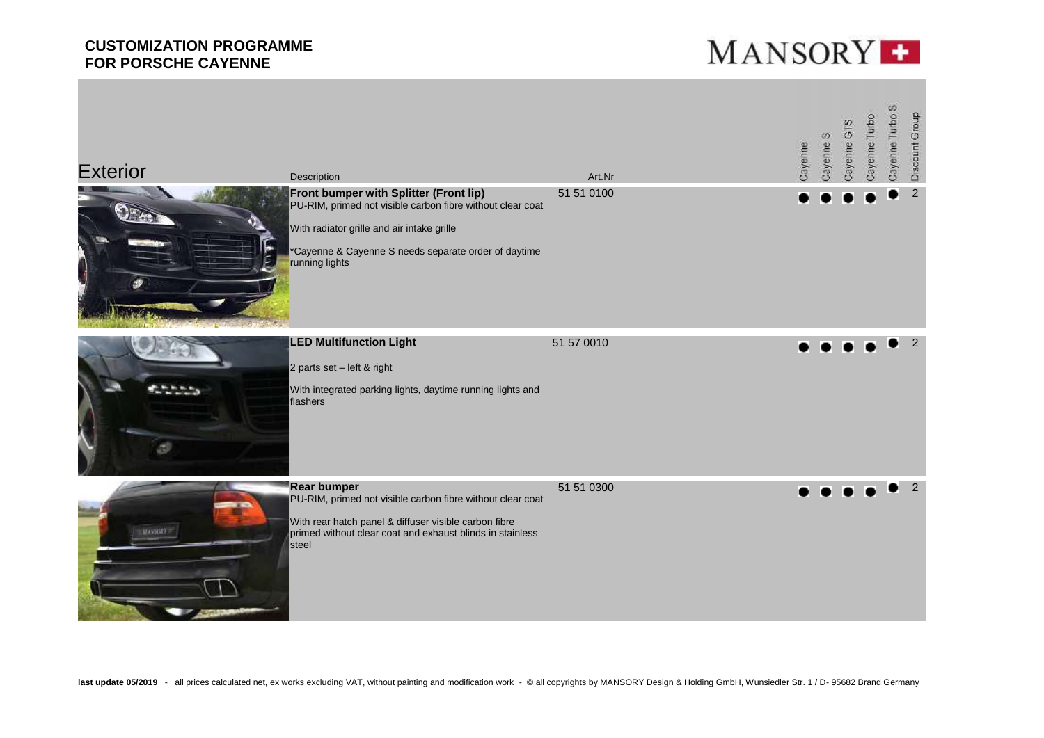

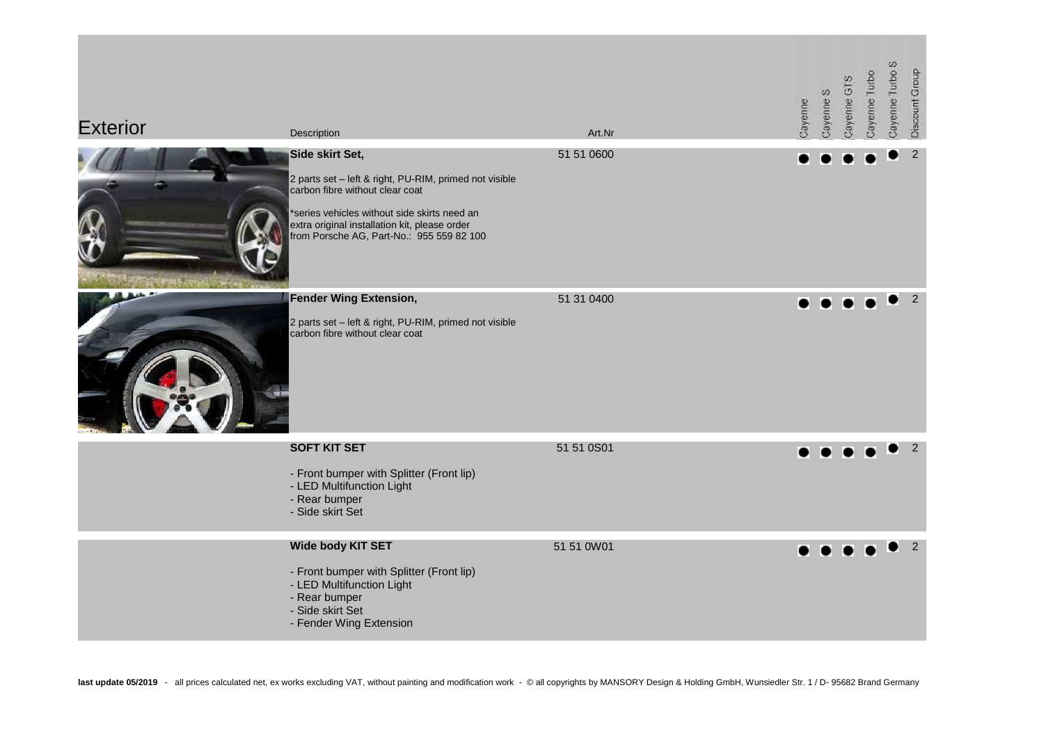| <b>Exterior</b> | Description                                                                                                                                                                                                                                                | Art.Nr     | Cayenne | Cayenne S | Cayenne GTS | Cayenne Turbo | Cayenne Turbo S | Discount Group |
|-----------------|------------------------------------------------------------------------------------------------------------------------------------------------------------------------------------------------------------------------------------------------------------|------------|---------|-----------|-------------|---------------|-----------------|----------------|
|                 | Side skirt Set,<br>2 parts set - left & right, PU-RIM, primed not visible<br>carbon fibre without clear coat<br>*series vehicles without side skirts need an<br>extra original installation kit, please order<br>from Porsche AG, Part-No.: 955 559 82 100 | 51 51 0600 |         |           |             |               |                 | 2              |
|                 | <b>Fender Wing Extension,</b><br>2 parts set - left & right, PU-RIM, primed not visible<br>carbon fibre without clear coat                                                                                                                                 | 51 31 0400 |         |           |             |               |                 | 2              |
|                 | <b>SOFT KIT SET</b><br>- Front bumper with Splitter (Front lip)<br>- LED Multifunction Light<br>- Rear bumper<br>- Side skirt Set                                                                                                                          | 51 51 0S01 |         |           |             |               |                 | 2              |
|                 | Wide body KIT SET<br>- Front bumper with Splitter (Front lip)<br>- LED Multifunction Light<br>- Rear bumper<br>- Side skirt Set<br>- Fender Wing Extension                                                                                                 | 51 51 0W01 |         |           |             |               |                 |                |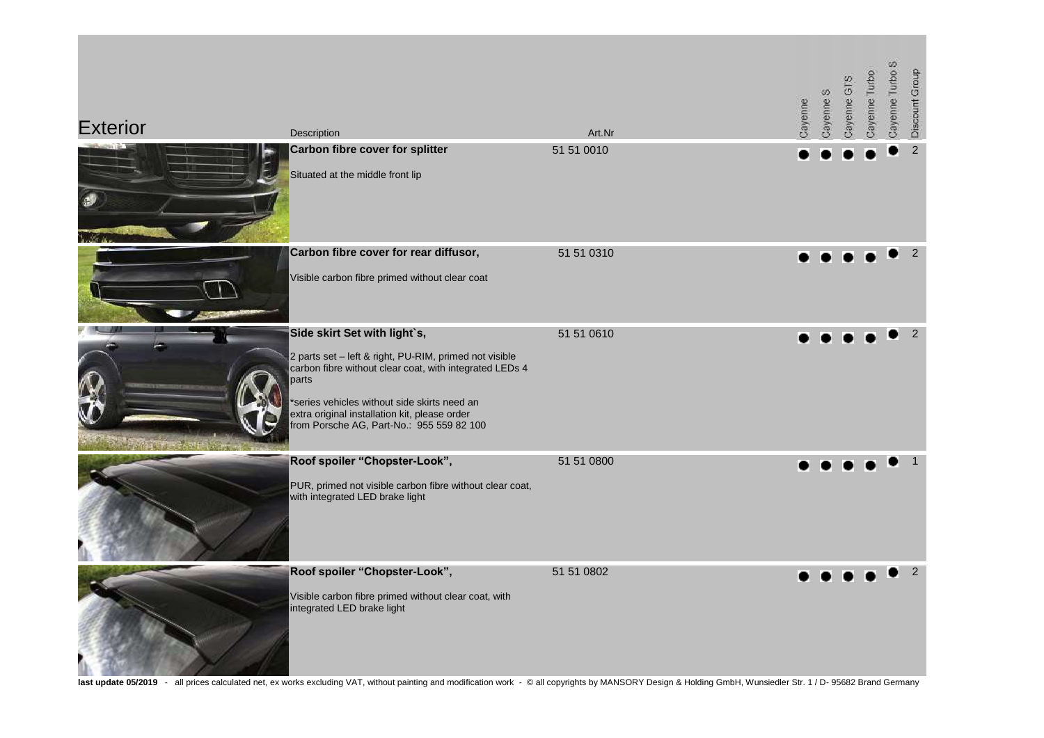| <b>Exterior</b> | Description                                                                                                                                                                                                                                                                                              | Art.Nr     | Cayenne | Cayenne S | Cayenne GTS | Cayenne Turbo | Cayenne Turbo S | Discount Group |
|-----------------|----------------------------------------------------------------------------------------------------------------------------------------------------------------------------------------------------------------------------------------------------------------------------------------------------------|------------|---------|-----------|-------------|---------------|-----------------|----------------|
|                 | Carbon fibre cover for splitter<br>Situated at the middle front lip                                                                                                                                                                                                                                      | 51 51 0010 |         |           |             |               |                 | $\overline{2}$ |
|                 | Carbon fibre cover for rear diffusor,<br>Visible carbon fibre primed without clear coat                                                                                                                                                                                                                  | 51 51 0310 |         |           |             |               |                 | 2              |
|                 | Side skirt Set with light's,<br>2 parts set - left & right, PU-RIM, primed not visible<br>carbon fibre without clear coat, with integrated LEDs 4<br>parts<br>*series vehicles without side skirts need an<br>extra original installation kit, please order<br>from Porsche AG, Part-No.: 955 559 82 100 | 51 51 0610 |         |           |             |               |                 | 2              |
|                 | Roof spoiler "Chopster-Look",<br>PUR, primed not visible carbon fibre without clear coat,<br>with integrated LED brake light                                                                                                                                                                             | 51 51 0800 |         |           |             |               |                 |                |
|                 | Roof spoiler "Chopster-Look",<br>Visible carbon fibre primed without clear coat, with<br>integrated LED brake light                                                                                                                                                                                      | 51 51 0802 |         |           |             |               |                 | 2              |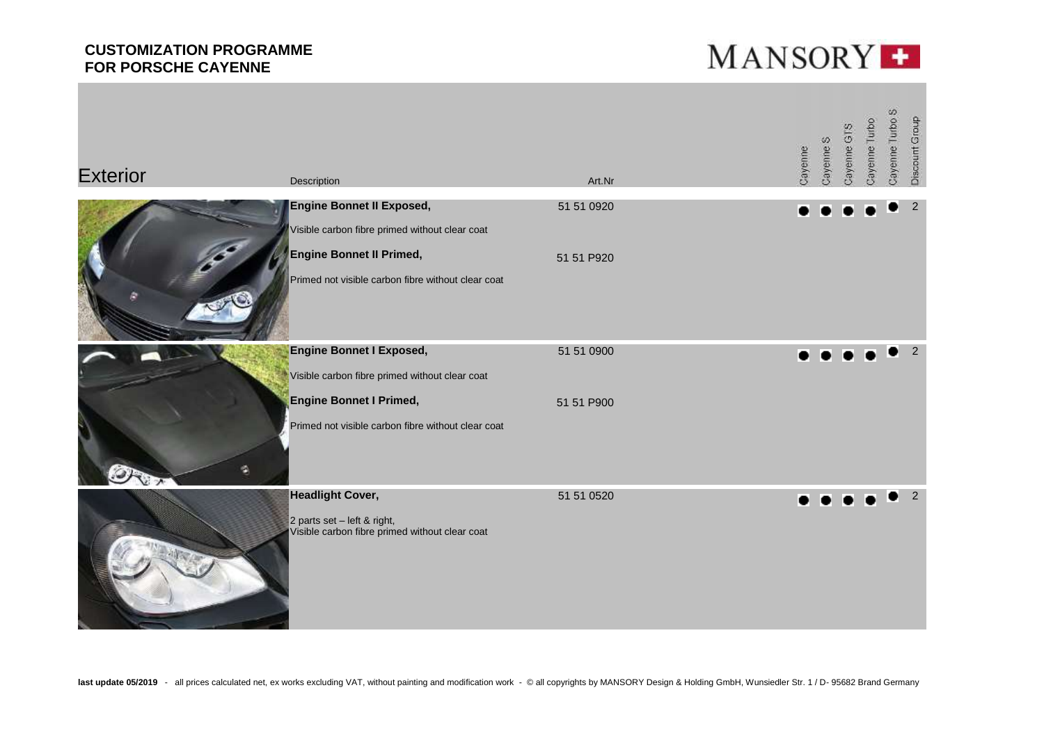

| <b>Exterior</b> | Description                                                                                              | Art.Nr     | Cayenne | Cayenne S | Cayenne GTS | Cayenne Turbo | Cayenne Turbo S | Discount Group |
|-----------------|----------------------------------------------------------------------------------------------------------|------------|---------|-----------|-------------|---------------|-----------------|----------------|
|                 | <b>Engine Bonnet II Exposed,</b><br>Visible carbon fibre primed without clear coat                       | 51 51 0920 |         |           |             |               |                 | 2              |
|                 | Engine Bonnet II Primed,<br>Primed not visible carbon fibre without clear coat                           | 51 51 P920 |         |           |             |               |                 |                |
|                 | <b>Engine Bonnet I Exposed,</b><br>Visible carbon fibre primed without clear coat                        | 51 51 0900 |         |           |             |               |                 | 2              |
| a               | <b>Engine Bonnet I Primed,</b><br>Primed not visible carbon fibre without clear coat                     | 51 51 P900 |         |           |             |               |                 |                |
|                 | <b>Headlight Cover,</b><br>2 parts set - left & right,<br>Visible carbon fibre primed without clear coat | 51 51 0520 |         |           |             |               |                 | $\overline{2}$ |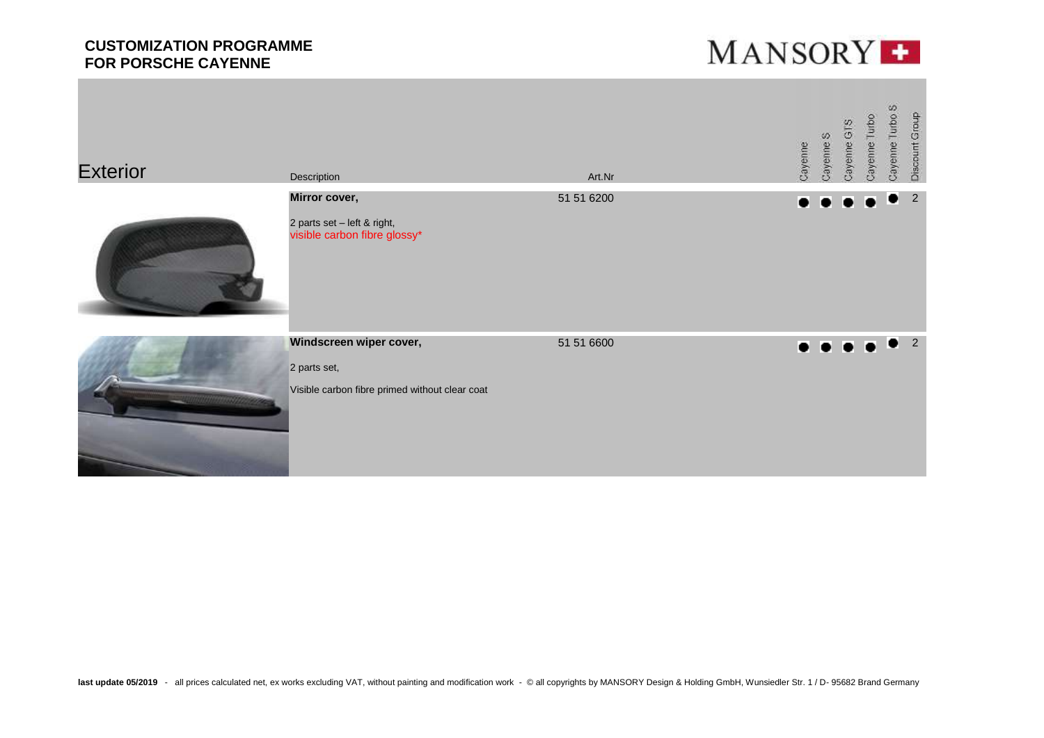

| <b>Exterior</b> | Description                                                                               | Art.Nr     | Cayenne   | Cayenne S           | Cayenne GTS | Cayenne Turbo                 | Cayenne Turbo S | Discount Group |
|-----------------|-------------------------------------------------------------------------------------------|------------|-----------|---------------------|-------------|-------------------------------|-----------------|----------------|
|                 | Mirror cover,<br>2 parts set - left & right,<br>visible carbon fibre glossy*              | 51 51 6200 | $\bullet$ | $\bullet$           | $\bullet$   | IT.                           |                 | 2              |
|                 | Windscreen wiper cover,<br>2 parts set,<br>Visible carbon fibre primed without clear coat | 51 51 6600 |           | $\bullet$ $\bullet$ |             | $\bullet$ $\bullet$ $\bullet$ |                 | $\overline{2}$ |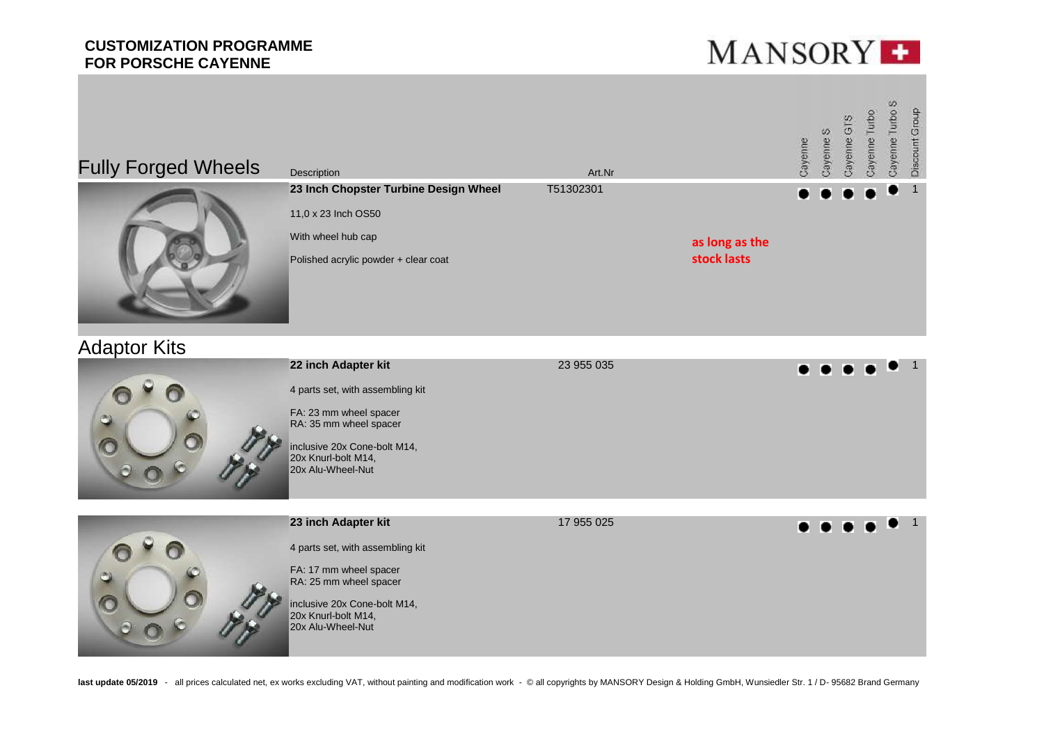



# Adaptor Kits

| 23 955 035 | $\bullet \bullet \bullet \bullet \bullet \bullet$ |
|------------|---------------------------------------------------|
|            |                                                   |
|            |                                                   |
|            |                                                   |
|            |                                                   |

|    | 23 inch Adapter kit                                                      | 17 955 025 |  |  |  |  |
|----|--------------------------------------------------------------------------|------------|--|--|--|--|
|    | 4 parts set, with assembling kit                                         |            |  |  |  |  |
| C) | FA: 17 mm wheel spacer<br>RA: 25 mm wheel spacer                         |            |  |  |  |  |
|    | inclusive 20x Cone-bolt M14,<br>20x Knurl-bolt M14,<br>20x Alu-Wheel-Nut |            |  |  |  |  |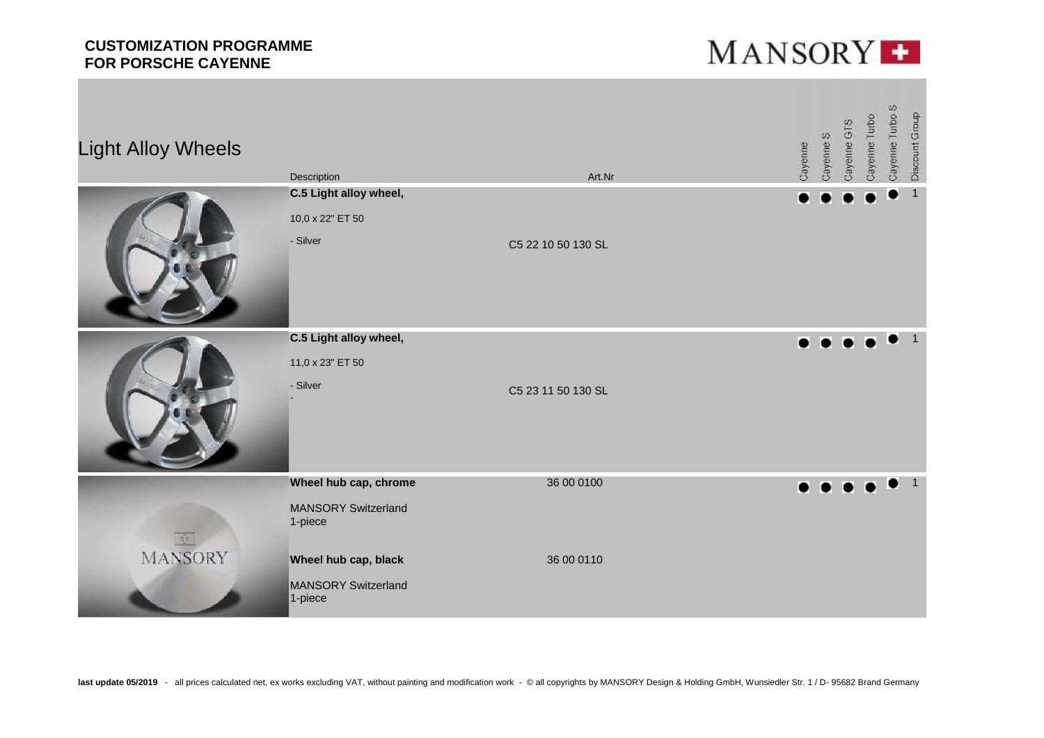

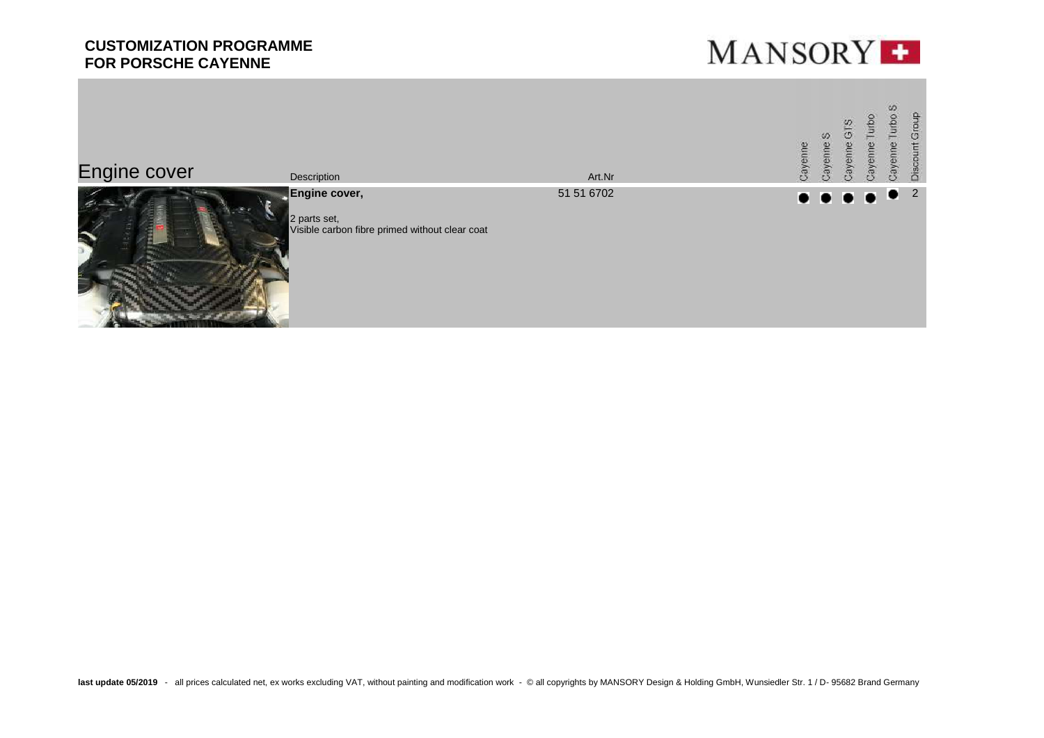

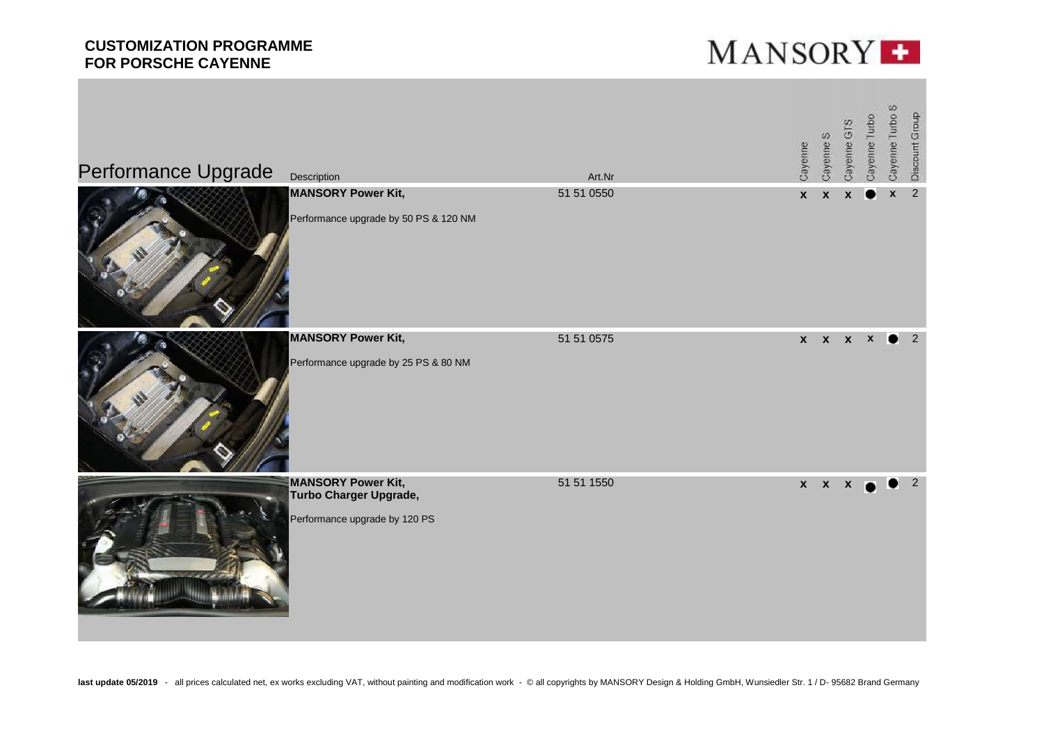

| Performance Upgrade | Description                                                                          | Art.Nr     | Cayenne      | Cayenne S    | Cayenne GTS      | Cayenne Turbo            | Cayenne Turbo S  | Discount Group          |
|---------------------|--------------------------------------------------------------------------------------|------------|--------------|--------------|------------------|--------------------------|------------------|-------------------------|
|                     | <b>MANSORY Power Kit,</b><br>Performance upgrade by 50 PS & 120 NM                   | 51 51 0550 | $\mathbf{x}$ | $\mathbf{x}$ | $\boldsymbol{x}$ |                          | $\boldsymbol{x}$ | $\overline{2}$          |
|                     | <b>MANSORY Power Kit,</b><br>Performance upgrade by 25 PS & 80 NM                    | 51 51 0575 |              |              |                  | $x \times x \times 2$    |                  |                         |
|                     | <b>MANSORY Power Kit,</b><br>Turbo Charger Upgrade,<br>Performance upgrade by 120 PS | 51 51 1550 |              | $x \times x$ |                  | $\overline{\phantom{a}}$ |                  | $\overline{\mathbf{2}}$ |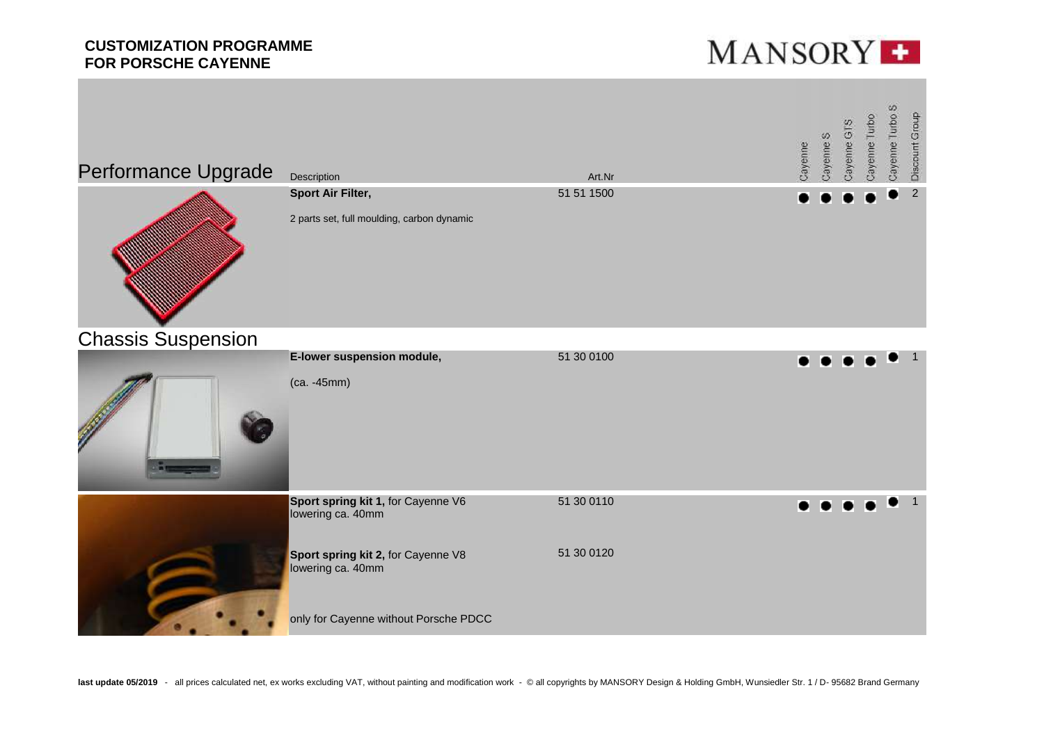

| Performance Upgrade       | Description                                                     | Art.Nr     | Cayenne | Cayenne S | Cayenne GTS | Cayenne Turbo | Cayenne Turbo S | Discount Group |
|---------------------------|-----------------------------------------------------------------|------------|---------|-----------|-------------|---------------|-----------------|----------------|
|                           | Sport Air Filter,<br>2 parts set, full moulding, carbon dynamic | 51 51 1500 |         |           |             |               |                 | $\sqrt{2}$     |
| <b>Chassis Suspension</b> | E-lower suspension module,                                      | 51 30 0100 |         |           |             |               |                 |                |
|                           | (ca. -45mm)                                                     |            |         |           |             |               |                 |                |
|                           | Sport spring kit 1, for Cayenne V6<br>lowering ca. 40mm         | 51 30 0110 |         |           |             |               |                 |                |
|                           | Sport spring kit 2, for Cayenne V8<br>lowering ca. 40mm         | 51 30 0120 |         |           |             |               |                 |                |
|                           | only for Cayenne without Porsche PDCC                           |            |         |           |             |               |                 |                |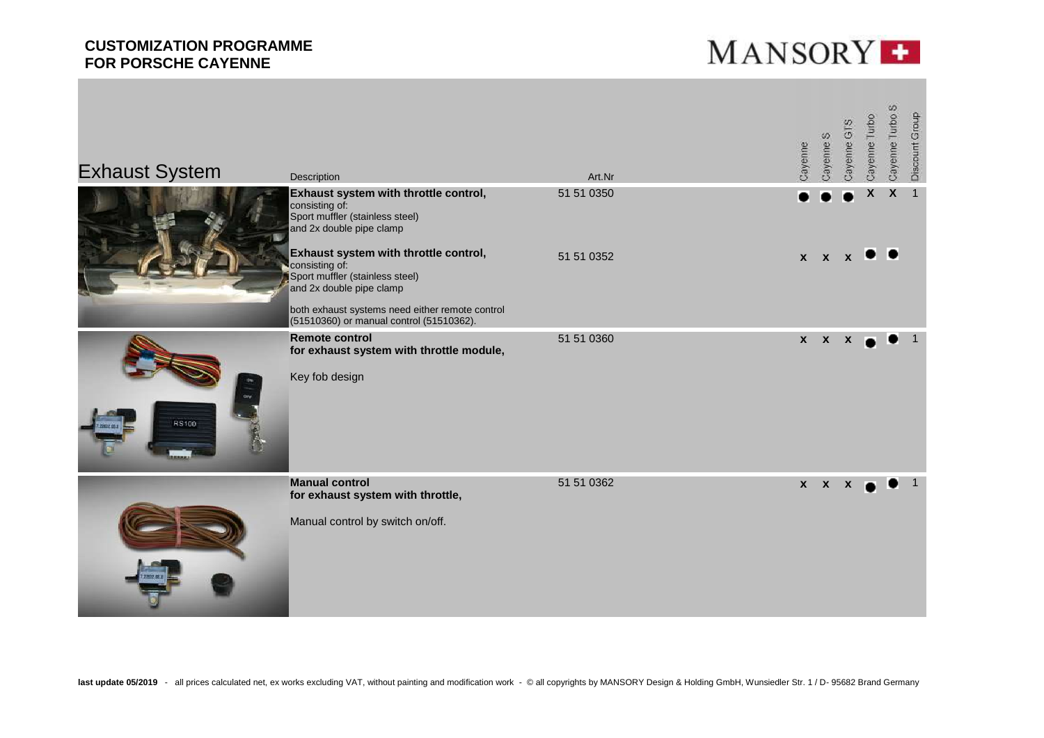

| <b>Exhaust System</b> | <b>Description</b>                                                                                                                                                                                                    | Art.Nr     | Cayenne |              | Cayenne S    | Cayenne GTS      | Cayenne Turbo      | Cayenne Turbo S | Discount Group |
|-----------------------|-----------------------------------------------------------------------------------------------------------------------------------------------------------------------------------------------------------------------|------------|---------|--------------|--------------|------------------|--------------------|-----------------|----------------|
|                       | Exhaust system with throttle control,<br>consisting of:<br>Sport muffler (stainless steel)<br>and 2x double pipe clamp                                                                                                | 51 51 0350 |         |              |              |                  | $\pmb{\mathsf{X}}$ | X               | $\overline{1}$ |
|                       | Exhaust system with throttle control,<br>consisting of:<br>Sport muffler (stainless steel)<br>and 2x double pipe clamp<br>both exhaust systems need either remote control<br>(51510360) or manual control (51510362). | 51 51 0352 |         | $X$ $X$      |              | $\mathbf{x}$     |                    |                 |                |
| RS100                 | <b>Remote control</b><br>for exhaust system with throttle module,<br>Key fob design                                                                                                                                   | 51 51 0360 |         | $\mathbf{x}$ | $\mathbf{x}$ | $\boldsymbol{x}$ |                    |                 |                |
|                       | <b>Manual control</b><br>for exhaust system with throttle,<br>Manual control by switch on/off.                                                                                                                        | 51 51 0362 |         |              | $X$ $X$ $X$  |                  |                    |                 |                |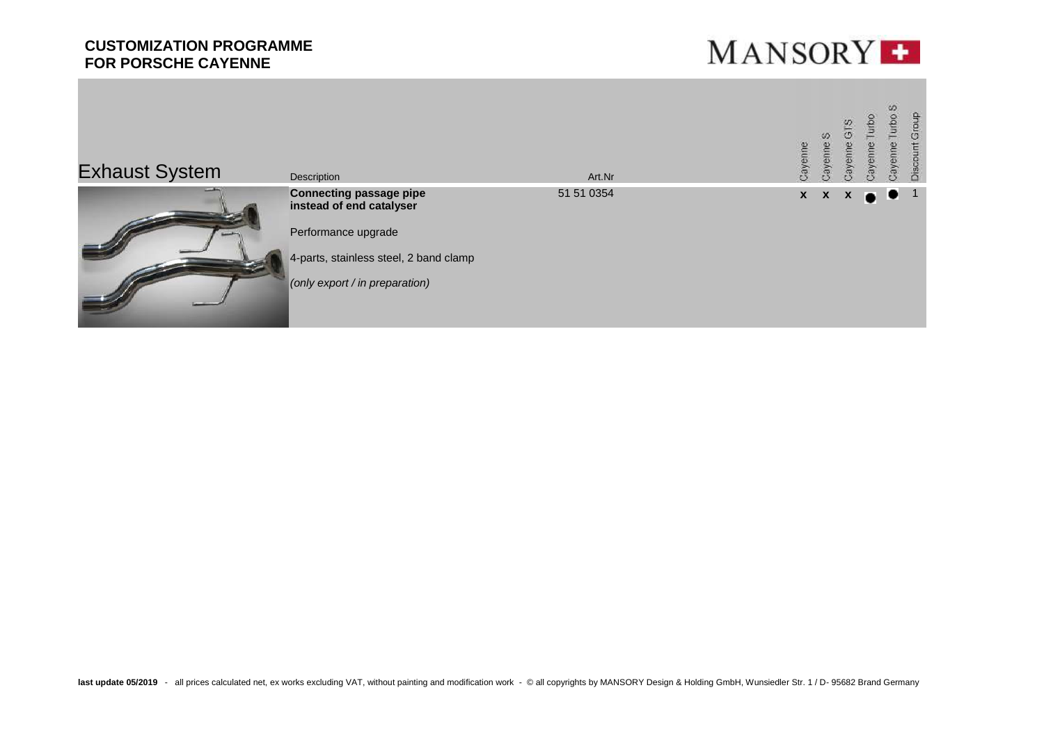

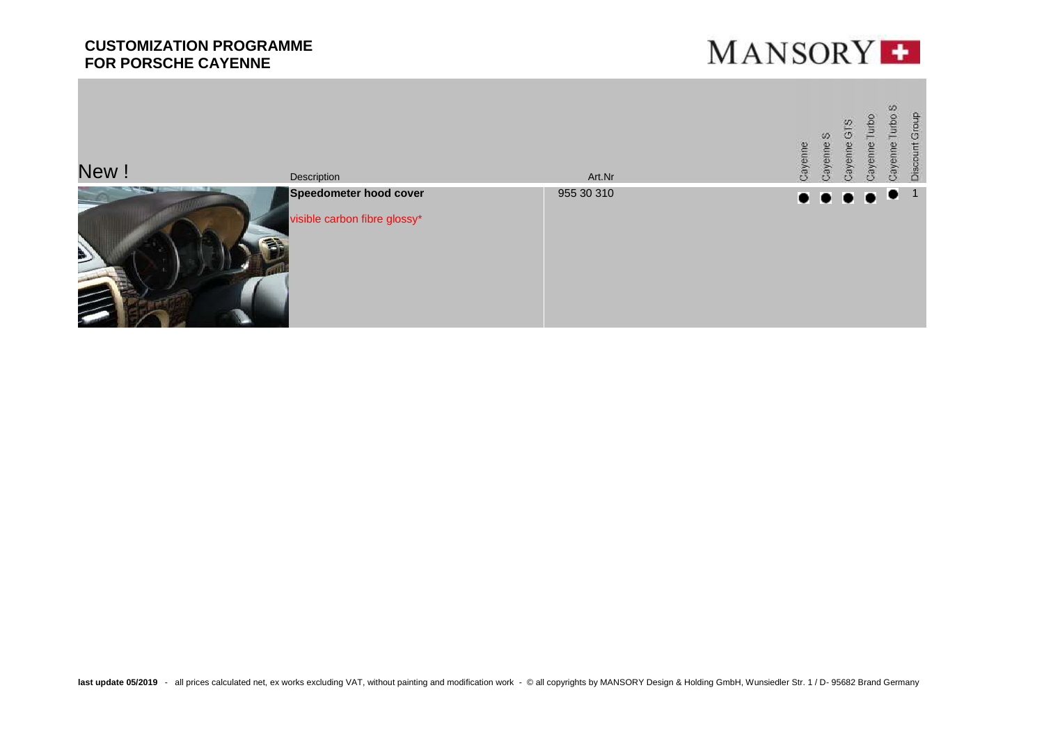

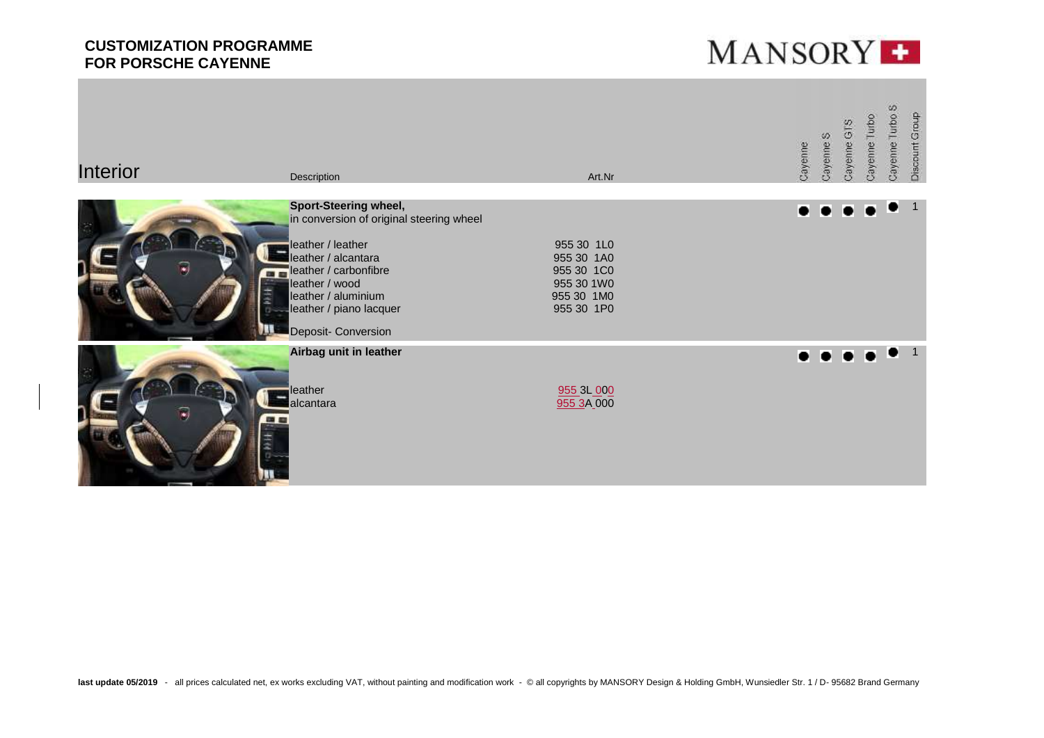

| <b>Interior</b> | Description                                                                                                                                                                                                                              | Art.Nr                                                                           | Cayenne | Cayenne S      | Cayenne GTS | Cayenne Turbo | SD.<br>Cayenne Turbo | Discount Group |
|-----------------|------------------------------------------------------------------------------------------------------------------------------------------------------------------------------------------------------------------------------------------|----------------------------------------------------------------------------------|---------|----------------|-------------|---------------|----------------------|----------------|
| ×,<br>理由        | <b>Sport-Steering wheel,</b><br>in conversion of original steering wheel<br>leather / leather<br>leather / alcantara<br>leather / carbonfibre<br>leather / wood<br>leather / aluminium<br>leather / piano lacquer<br>Deposit- Conversion | 955 30 1L0<br>955 30 1A0<br>955 30 1C0<br>955 30 1W0<br>955 30 1M0<br>955 30 1P0 | o       | $\bullet$      |             |               | $\bullet$            | $\overline{1}$ |
| ×)              | Airbag unit in leather<br>leather<br>lalcantara                                                                                                                                                                                          | 955 3L 000<br>955 3A 000                                                         |         | $\bullet$<br>Ð |             |               | $\bullet$ 1          |                |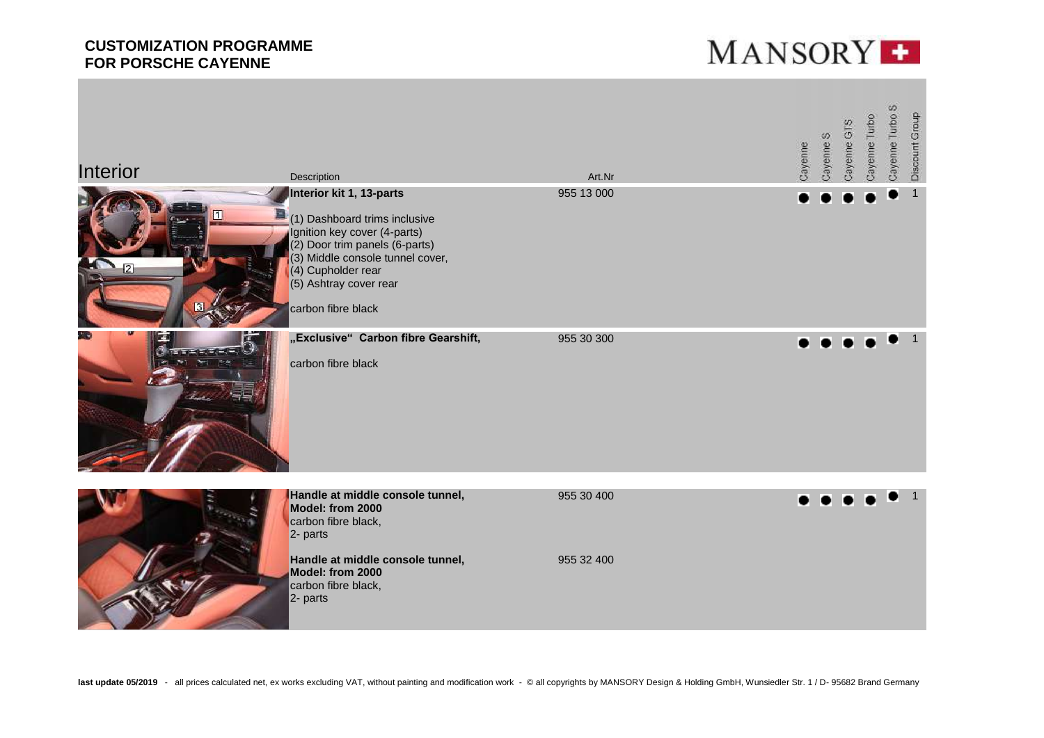

| <b>Interior</b>                     | Description<br>Interior kit 1, 13-parts                                                                                                                                                                   | Art.Nr<br>955 13 000     | Cayenne | Cayenne S | Cayenne GTS | Cayenne Turbo | Cayenne Turbo S | Discount Group<br>$\mathbf{1}$ |
|-------------------------------------|-----------------------------------------------------------------------------------------------------------------------------------------------------------------------------------------------------------|--------------------------|---------|-----------|-------------|---------------|-----------------|--------------------------------|
| c<br>$\mathbf{I}$<br>$\overline{2}$ | (1) Dashboard trims inclusive<br>Ignition key cover (4-parts)<br>(2) Door trim panels (6-parts)<br>(3) Middle console tunnel cover,<br>(4) Cupholder rear<br>(5) Ashtray cover rear<br>carbon fibre black |                          |         |           |             |               |                 |                                |
| <b>LEARNER</b><br>201               | "Exclusive" Carbon fibre Gearshift,<br>carbon fibre black                                                                                                                                                 | 955 30 300               |         |           |             |               |                 | $\mathbf{1}$                   |
|                                     | Handle at middle console tunnel,<br>Model: from 2000<br>carbon fibre black,<br>2- parts<br>Handle at middle console tunnel,<br>Model: from 2000<br>carbon fibre black,<br>2- parts                        | 955 30 400<br>955 32 400 |         |           |             |               |                 |                                |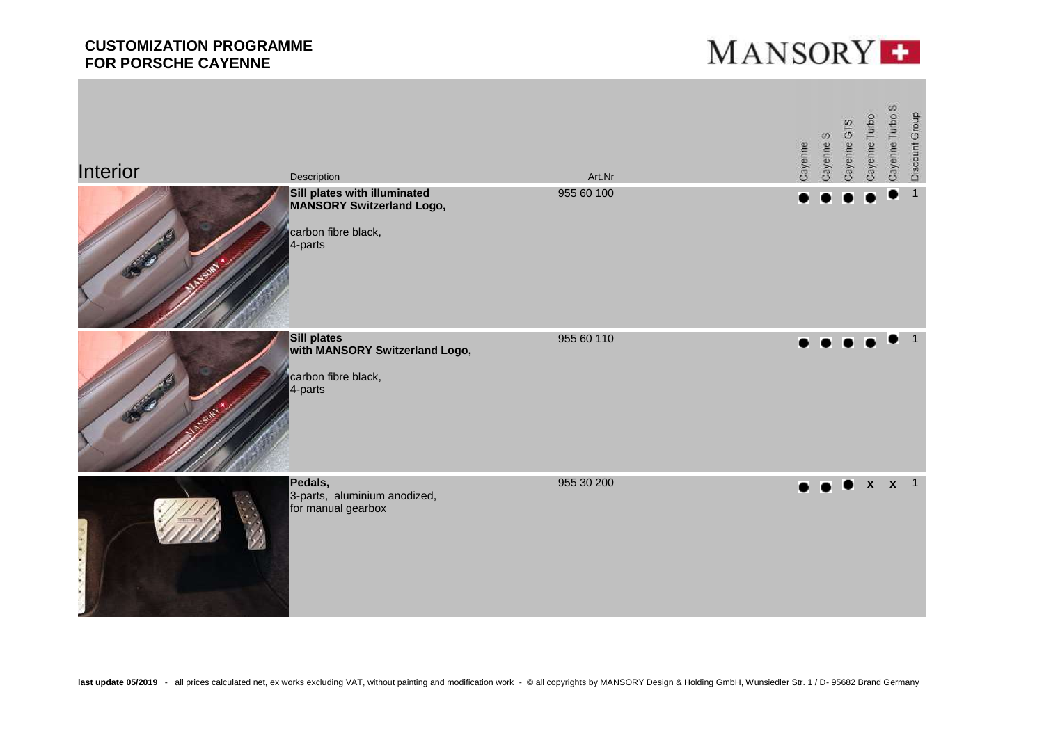

| Interior | Description                                                                                        | Art.Nr     | Cayenne | Cayenne S           | Cayenne GTS | Cayenne Turbo | Cayenne Turbo S | Discount Group |
|----------|----------------------------------------------------------------------------------------------------|------------|---------|---------------------|-------------|---------------|-----------------|----------------|
|          | Sill plates with illuminated<br><b>MANSORY Switzerland Logo,</b><br>carbon fibre black,<br>4-parts | 955 60 100 |         |                     |             |               |                 | $\mathbf{1}$   |
|          | <b>Sill plates</b><br>with MANSORY Switzerland Logo,<br>carbon fibre black,<br>4-parts             | 955 60 110 | ó.      | $\bullet$           | $\bullet$   | $\bullet$     | ∙               | $\overline{1}$ |
|          | Pedals,<br>3-parts, aluminium anodized,<br>for manual gearbox                                      | 955 30 200 |         | $\bullet$ $\bullet$ |             |               | x x 1           |                |